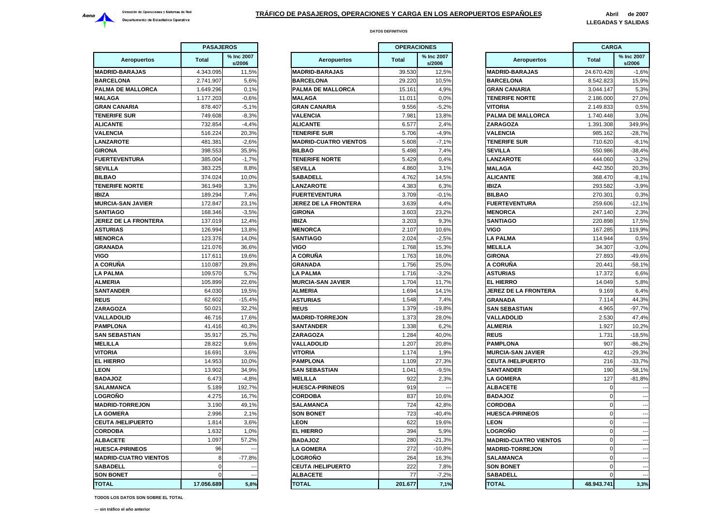

|                              | <b>PASAJEROS</b> |                      |                    |
|------------------------------|------------------|----------------------|--------------------|
| <b>Aeropuertos</b>           | <b>Total</b>     | % Inc 2007<br>s/2006 | Ae                 |
| <b>MADRID-BARAJAS</b>        | 4.343.095        | 11,5%                | <b>MADRID-BAI</b>  |
| <b>BARCELONA</b>             | 2.741.907        | 5,6%                 | <b>BARCELONA</b>   |
| PALMA DE MALLORCA            | 1.649.296        | 0,1%                 | <b>PALMA DE N</b>  |
| <b>MALAGA</b>                | 1.177.203        | $-0,6%$              | <b>MALAGA</b>      |
| <b>GRAN CANARIA</b>          | 878.407          | $-5,1%$              | <b>GRAN CANA</b>   |
| <b>TENERIFE SUR</b>          | 749.608          | $-8,3%$              | VALENCIA           |
| <b>ALICANTE</b>              | 732.854          | $-4.4%$              | <b>ALICANTE</b>    |
| VALENCIA                     | 516.224          | 20,3%                | <b>TENERIFE SI</b> |
| <b>LANZAROTE</b>             | 481.381          | $-2,6%$              | <b>MADRID-CUA</b>  |
| <b>GIRONA</b>                | 398.553          | 35,9%                | <b>BILBAO</b>      |
| <b>FUERTEVENTURA</b>         | 385.004          | $-1,7%$              | <b>TENERIFE N</b>  |
| SEVILLA                      | 383.225          | 8,8%                 | <b>SEVILLA</b>     |
| <b>BILBAO</b>                | 374.024          | 10,0%                | <b>SABADELL</b>    |
| <b>TENERIFE NORTE</b>        | 361.949          | 3,3%                 | <b>LANZAROTE</b>   |
| <b>IBIZA</b>                 | 189.294          | 7,4%                 | <b>FUERTEVEN</b>   |
| <b>MURCIA-SAN JAVIER</b>     | 172.847          | 23,1%                | <b>JEREZ DE L/</b> |
| <b>SANTIAGO</b>              | 168.346          | $-3,5%$              | <b>GIRONA</b>      |
| JEREZ DE LA FRONTERA         | 137.019          | 12,4%                | <b>IBIZA</b>       |
| <b>ASTURIAS</b>              | 126.994          | 13,8%                | <b>MENORCA</b>     |
| <b>MENORCA</b>               | 123.376          | 14,0%                | <b>SANTIAGO</b>    |
| <b>GRANADA</b>               | 121.076          | 36,6%                | VIGO               |
| VIGO                         | 117.611          | 19,6%                | A CORUÑA           |
| A CORUÑA                     | 110.087          | 29,8%                | <b>GRANADA</b>     |
| <b>LA PALMA</b>              | 109.570          | 5,7%                 | <b>LA PALMA</b>    |
| ALMERIA                      | 105.899          | 22,6%                | <b>MURCIA-SAN</b>  |
| <b>SANTANDER</b>             | 64.030           | 19,5%                | <b>ALMERIA</b>     |
| <b>REUS</b>                  | 62.602           | $-15,4%$             | <b>ASTURIAS</b>    |
| <b>ZARAGOZA</b>              | 50.021           | 32,2%                | <b>REUS</b>        |
| VALLADOLID                   | 46.716           | 17,6%                | <b>MADRID-TOF</b>  |
| <b>PAMPLONA</b>              | 41.416           | 40,3%                | <b>SANTANDER</b>   |
| SAN SEBASTIAN                | 35.917           | 25,7%                | <b>ZARAGOZA</b>    |
| MELILLA                      | 28.822           | 9,6%                 | VALLADOLII         |
| VITORIA                      | 16.691           | 3,6%                 | <b>VITORIA</b>     |
| <b>EL HIERRO</b>             | 14.953           | 10,0%                | <b>PAMPLONA</b>    |
| <b>LEON</b>                  | 13.902           | 34,9%                | <b>SAN SEBAS</b>   |
| <b>BADAJOZ</b>               | 6.473            | $-4,8%$              | <b>MELILLA</b>     |
| SALAMANCA                    | 5.189            | 192,7%               | <b>HUESCA-PIR</b>  |
| <b>LOGROÑO</b>               | 4.275            | 16,7%                | CORDOBA            |
| <b>MADRID-TORREJON</b>       | 3.190            | 49,1%                | <b>SALAMANCA</b>   |
| <b>LA GOMERA</b>             | 2.996            | 2,1%                 | <b>SON BONET</b>   |
| <b>CEUTA /HELIPUERTO</b>     | 1.814            | 3,6%                 | <b>LEON</b>        |
| CORDOBA                      | 1.632            | 1,0%                 | <b>EL HIERRO</b>   |
| <b>ALBACETE</b>              | 1.097            | 57,2%                | <b>BADAJOZ</b>     |
| <b>HUESCA-PIRINEOS</b>       | 96               |                      | <b>LA GOMERA</b>   |
| <b>MADRID-CUATRO VIENTOS</b> | 8                | $-77,8%$             | LOGROÑO            |
| <b>SABADELL</b>              | 0                |                      | <b>CEUTA /HEL</b>  |
| <b>SON BONET</b>             | $\mathbf 0$      |                      | <b>ALBACETE</b>    |
| <b>TOTAL</b>                 | 17.056.689       | 5,8%                 | <b>TOTAL</b>       |
|                              |                  |                      |                    |

|                            | <b>PASAJEROS</b> |                      |                              | <b>OPERACIONES</b> |                      |                              | <b>CARGA</b> |                          |
|----------------------------|------------------|----------------------|------------------------------|--------------------|----------------------|------------------------------|--------------|--------------------------|
| <b>Aeropuertos</b>         | <b>Total</b>     | % Inc 2007<br>s/2006 | Aeropuertos                  | <b>Total</b>       | % Inc 2007<br>s/2006 | Aeropuertos                  | <b>Total</b> | % Inc 2007<br>s/2006     |
| <b>DRID-BARAJAS</b>        | 4.343.095        | 11,5%                | <b>MADRID-BARAJAS</b>        | 39.530             | 12,5%                | <b>MADRID-BARAJAS</b>        | 24.670.428   | $-1,6%$                  |
| <b>RCELONA</b>             | 2.741.907        | 5,6%                 | <b>BARCELONA</b>             | 29.220             | 10,5%                | <b>BARCELONA</b>             | 8.542.823    | 15,9%                    |
| <b>MA DE MALLORCA</b>      | 1.649.296        | 0.1%                 | <b>PALMA DE MALLORCA</b>     | 15.161             | 4.9%                 | <b>GRAN CANARIA</b>          | 3.044.147    | 5.3%                     |
| ∟AGA                       | 1.177.203        | $-0.6%$              | <b>MALAGA</b>                | 11.011             | 0.0%                 | <b>TENERIFE NORTE</b>        | 2.186.000    | 27,0%                    |
| AN CANARIA                 | 878.407          | $-5,1%$              | <b>GRAN CANARIA</b>          | 9.556              | $-5,2%$              | <b>VITORIA</b>               | 2.149.833    | 0,5%                     |
| <b>IERIFE SUR</b>          | 749.608          | $-8,3%$              | <b>VALENCIA</b>              | 7.981              | 13,8%                | PALMA DE MALLORCA            | 1.740.448    | 3,0%                     |
| CANTE                      | 732.854          | $-4,4%$              | <b>ALICANTE</b>              | 6.577              | 2,4%                 | <b>ZARAGOZA</b>              | 1.391.308    | 349,9%                   |
| <b>ENCIA</b>               | 516.224          | 20,3%                | <b>TENERIFE SUR</b>          | 5.706              | $-4,9%$              | <b>VALENCIA</b>              | 985.162      | $-28,7%$                 |
| <b>IZAROTE</b>             | 481.381          | $-2,6%$              | <b>MADRID-CUATRO VIENTOS</b> | 5.608              | $-7,1%$              | <b>TENERIFE SUR</b>          | 710.620      | $-8,1%$                  |
| ONA                        | 398.553          | 35,9%                | <b>BILBAO</b>                | 5.498              | 7,4%                 | SEVILLA                      | 550.986      | $-38,4%$                 |
| <b>ERTEVENTURA</b>         | 385.004          | $-1,7%$              | <b>TENERIFE NORTE</b>        | 5.429              | 0,4%                 | LANZAROTE                    | 444.060      | $-3,2%$                  |
| <b>IILLA</b>               | 383.225          | 8.8%                 | <b>SEVILLA</b>               | 4.860              | 3,1%                 | <b>MALAGA</b>                | 442.350      | 20,3%                    |
| BAO                        | 374.024          | 10,0%                | <b>SABADELL</b>              | 4.762              | 14,5%                | <b>ALICANTE</b>              | 368.470      | $-8,1%$                  |
| <b>IERIFE NORTE</b>        | 361.949          | 3,3%                 | LANZAROTE                    | 4.383              | 6,3%                 | <b>IBIZA</b>                 | 293.582      | $-3,9%$                  |
| Ά                          | 189.294          | 7,4%                 | <b>FUERTEVENTURA</b>         | 3.709              | $-0.1%$              | <b>BILBAO</b>                | 270.301      | 0.3%                     |
| <b>RCIA-SAN JAVIER</b>     | 172.847          | 23,1%                | <b>JEREZ DE LA FRONTERA</b>  | 3.639              | 4,4%                 | <b>FUERTEVENTURA</b>         | 259.606      | $-12,1%$                 |
| <b>ITIAGO</b>              | 168,346          | $-3,5%$              | <b>GIRONA</b>                | 3.603              | 23,2%                | <b>MENORCA</b>               | 247.140      | 2,3%                     |
| <b>EZ DE LA FRONTERA</b>   | 137.019          | 12,4%                | <b>IBIZA</b>                 | 3.203              | 9,3%                 | <b>SANTIAGO</b>              | 220.898      | 17,5%                    |
| <b>URIAS</b>               | 126.994          | 13,8%                | <b>MENORCA</b>               | 2.107              | 10,6%                | VIGO                         | 167.285      | 119,9%                   |
| <b>NORCA</b>               | 123.376          | 14,0%                | <b>SANTIAGO</b>              | 2.024              | $-2,5%$              | <b>LA PALMA</b>              | 114.944      | 0,5%                     |
| <b>ANADA</b>               | 121.076          | 36,6%                | <b>VIGO</b>                  | 1.768              | 15,3%                | <b>MELILLA</b>               | 34.307       | $-3,0%$                  |
| Ō                          | 117.611          | 19,6%                | A CORUÑA                     | 1.763              | 18,0%                | <b>GIRONA</b>                | 27.893       | $-49.6%$                 |
| ORUÑA                      | 110.087          | 29,8%                | <b>GRANADA</b>               | 1.756              | 25,0%                | A CORUÑA                     | 20.441       | $-58,1%$                 |
| <b>PALMA</b>               | 109.570          | 5,7%                 | <b>LA PALMA</b>              | 1.716              | $-3,2%$              | <b>ASTURIAS</b>              | 17.372       | 6,6%                     |
| <b>IERIA</b>               | 105.899          | 22,6%                | <b>MURCIA-SAN JAVIER</b>     | 1.704              | 11,7%                | <b>EL HIERRO</b>             | 14.049       | 5,8%                     |
| <b>ITANDER</b>             | 64.030           | 19,5%                | <b>ALMERIA</b>               | 1.694              | 14,1%                | <b>JEREZ DE LA FRONTERA</b>  | 9.169        | 6,4%                     |
| JS                         | 62.602           | $-15,4%$             | <b>ASTURIAS</b>              | 1.548              | 7,4%                 | <b>GRANADA</b>               | 7.114        | 44,3%                    |
| <b>AGOZA</b>               | 50.021           | 32,2%                | <b>REUS</b>                  | 1.379              | $-19.8%$             | <b>SAN SEBASTIAN</b>         | 4.965        | $-97,7%$                 |
| <b>LADOLID</b>             | 46.716           | 17,6%                | <b>MADRID-TORREJON</b>       | 1.373              | 28,0%                | VALLADOLID                   | 2.530        | 47,4%                    |
| <b>APLONA</b>              | 41.416           | 40,3%                | <b>SANTANDER</b>             | 1.338              | 6,2%                 | <b>ALMERIA</b>               | 1.927        | 10,2%                    |
| <b>SEBASTIAN</b>           | 35.917           | 25,7%                | <b>ZARAGOZA</b>              | 1.284              | 40,0%                | <b>REUS</b>                  | 1.731        | $-18,5%$                 |
| LILLA                      | 28.822           | 9,6%                 | <b>VALLADOLID</b>            | 1.207              | 20,8%                | <b>PAMPLONA</b>              | 907          | $-86,2%$                 |
| <b>DRIA</b>                | 16.691           | 3,6%                 | <b>VITORIA</b>               | 1.174              | 1,9%                 | <b>MURCIA-SAN JAVIER</b>     | 412          | $-29,3%$                 |
| <b>HIERRO</b>              | 14.953           | 10,0%                | <b>PAMPLONA</b>              | 1.109              | 27,3%                | <b>CEUTA /HELIPUERTO</b>     | 216          | $-33,7%$                 |
| λN                         | 13.902           | 34,9%                | <b>SAN SEBASTIAN</b>         | 1.041              | $-9,5%$              | <b>SANTANDER</b>             | 190          | $-58,1%$                 |
| <b>SOLAC</b>               | 6.473            | $-4.8%$              | <b>MELILLA</b>               | 922                | 2.3%                 | <b>LA GOMERA</b>             | 127          | $-81.8%$                 |
| <b>AMANCA</b>              | 5.189            | 192,7%               | <b>HUESCA-PIRINEOS</b>       | 919                |                      | <b>ALBACETE</b>              | $\Omega$     |                          |
| <b>GROÑO</b>               | 4.275            | 16,7%                | <b>CORDOBA</b>               | 837                | 10,6%                | <b>BADAJOZ</b>               | $\Omega$     |                          |
| <b>DRID-TORREJON</b>       | 3.190            | 49,1%                | <b>SALAMANCA</b>             | 724                | 42,8%                | <b>CORDOBA</b>               | $\Omega$     |                          |
| <b>GOMERA</b>              | 2.996            | 2,1%                 | <b>SON BONET</b>             | 723                | $-40,4%$             | <b>HUESCA-PIRINEOS</b>       | $\Omega$     |                          |
| JTA /HELIPUERTO            | 1.814            | 3,6%                 | <b>EON</b>                   | 622                | 19,6%                | LEON                         | $\Omega$     |                          |
| RDOBA                      | 1.632            | 1,0%                 | <b>EL HIERRO</b>             | 394                | 5,9%                 | LOGROÑO                      | $\Omega$     |                          |
| <b>ACETE</b>               | 1.097            | 57,2%                | <b>BADAJOZ</b>               | 280                | $-21,3%$             | <b>MADRID-CUATRO VIENTOS</b> | $\Omega$     |                          |
| <b>ESCA-PIRINEOS</b>       | 96               |                      | <b>LA GOMERA</b>             | 272                | $-10,8%$             | <b>MADRID-TORREJON</b>       | $\Omega$     |                          |
| <b>DRID-CUATRO VIENTOS</b> | 8                | $-77,8%$             | LOGROÑO                      | 264                | 16,3%                | <b>SALAMANCA</b>             | $\Omega$     | $\overline{\phantom{a}}$ |
| <b>BADELL</b>              | $\Omega$         |                      | <b>CEUTA /HELIPUERTO</b>     | 222                | 7,8%                 | <b>SON BONET</b>             | ∩            |                          |
| <b>N BONET</b>             | $\Omega$         |                      | <b>ALBACETE</b>              | 77                 | $-7,2%$              | <b>SABADELL</b>              | $\Omega$     | $\overline{\phantom{a}}$ |
| <b>TAL</b>                 | 17.056.689       | 5,8%                 | <b>TOTAL</b>                 | 201.677            | 7,1%                 | <b>TOTAL</b>                 | 48.943.741   | 3,3%                     |

|                       | <b>OPERACIONES</b> |                      |                              | <b>CARGA</b>   |                      |
|-----------------------|--------------------|----------------------|------------------------------|----------------|----------------------|
| <b>Aeropuertos</b>    | <b>Total</b>       | % Inc 2007<br>s/2006 | Aeropuertos                  | <b>Total</b>   | % Inc 2007<br>s/2006 |
| <b>ARAJAS</b>         | 39.530             | 12,5%                | <b>MADRID-BARAJAS</b>        | 24.670.428     | $-1,6%$              |
| ۱NA                   | 29.220             | 10,5%                | <b>BARCELONA</b>             | 8.542.823      | 15,9%                |
| <b>E MALLORCA</b>     | 15.161             | 4,9%                 | GRAN CANARIA                 | 3.044.147      | 5,3%                 |
|                       | 11.011             | 0,0%                 | <b>TENERIFE NORTE</b>        | 2.186.000      | 27,0%                |
| <b>NARIA</b>          | 9.556              | $-5,2%$              | VITORIA                      | 2.149.833      | 0,5%                 |
|                       | 7.981              | 13,8%                | PALMA DE MALLORCA            | 1.740.448      | 3,0%                 |
|                       | 6.577              | 2,4%                 | <b>ZARAGOZA</b>              | 1.391.308      | 349,9%               |
| : SUR                 | 5.706              | $-4,9%$              | <b>VALENCIA</b>              | 985.162        | $-28,7%$             |
| <b>UATRO VIENTOS:</b> | 5.608              | $-7,1%$              | <b>TENERIFE SUR</b>          | 710.620        | $-8,1%$              |
|                       | 5.498              | 7,4%                 | <b>SEVILLA</b>               | 550.986        | $-38.4%$             |
| : NORTE               | 5.429              | 0,4%                 | <b>LANZAROTE</b>             | 444.060        | $-3,2%$              |
|                       | 4.860              | 3,1%                 | <b>MALAGA</b>                | 442.350        | 20,3%                |
| Г                     | 4.762              | 14,5%                | <b>ALICANTE</b>              | 368.470        | $-8,1%$              |
| TE                    | 4.383              | 6,3%                 | IBIZA                        | 293.582        | $-3,9%$              |
| <b>ENTURA</b>         | 3.709              | -0,1%                | <b>BILBAO</b>                | 270.301        | 0,3%                 |
| LA FRONTERA           | 3.639              | 4,4%                 | <b>FUERTEVENTURA</b>         | 259.606        | $-12,1%$             |
|                       | 3.603              | 23,2%                | <b>MENORCA</b>               | 247.140        | 2,3%                 |
|                       | 3.203              | 9,3%                 | <b>SANTIAGO</b>              | 220.898        | 17,5%                |
|                       | 2.107              | 10,6%                | VIGO                         | 167.285        | 119,9%               |
|                       | 2.024              | $-2,5%$              | LA PALMA                     | 114.944        | 0,5%                 |
|                       | 1.768              | 15,3%                | <b>MELILLA</b>               | 34.307         | $-3,0%$              |
| A                     | 1.763              | 18,0%                | <b>GIRONA</b>                | 27.893         | $-49.6%$             |
|                       | 1.756              | 25,0%                | A CORUÑA                     | 20.441         | $-58,1%$             |
|                       | 1.716              | $-3,2%$              | <b>ASTURIAS</b>              | 17.372         | 6,6%                 |
| SAN JAVIER            | 1.704              | 11,7%                | <b>EL HIERRO</b>             | 14.049         | 5,8%                 |
|                       | 1.694              | 14,1%                | JEREZ DE LA FRONTERA         | 9.169          | 6,4%                 |
|                       | 1.548              | 7,4%                 | <b>GRANADA</b>               | 7.114          | 44,3%                |
|                       | 1.379              | $-19,8%$             | <b>SAN SEBASTIAN</b>         | 4.965          | $-97,7%$             |
| <b>ORREJON</b>        | 1.373              | 28,0%                | <b>VALLADOLID</b>            | 2.530          | 47,4%                |
| ER                    | 1.338              | 6,2%                 | ALMERIA                      | 1.927          | 10,2%                |
| Ά                     | 1.284              | 40,0%                | <b>REUS</b>                  | 1.731          | $-18,5%$             |
| LID                   | 1.207              | 20,8%                | PAMPLONA                     | 907            | $-86,2%$             |
|                       | 1.174              | 1,9%                 | <b>MURCIA-SAN JAVIER</b>     | 412            | $-29,3%$             |
| IA                    | 1.109              | 27,3%                | <b>CEUTA /HELIPUERTO</b>     | 216            | $-33,7%$             |
| <b>\STIAN</b>         | 1.041              | -9,5%                | <b>SANTANDER</b>             | 190            | $-58,1%$             |
|                       | 922                | 2,3%                 | LA GOMERA                    | 127            | $-81,8%$             |
| <b>PIRINEOS</b>       | 919                |                      | <b>ALBACETE</b>              | 0              | --                   |
|                       | 837                | 10,6%                | <b>BADAJOZ</b>               | 0              |                      |
| ICA                   | 724                | 42,8%                | CORDOBA                      | 0              |                      |
| EΤ                    | 723                | $-40,4%$             | <b>HUESCA-PIRINEOS</b>       | 0              |                      |
|                       | 622                | 19,6%                | <b>LEON</b>                  | $\overline{0}$ | $-$                  |
| о                     | 394                | 5,9%                 | <b>LOGRONO</b>               | 0              | --                   |
|                       | 280                | $-21,3%$             | <b>MADRID-CUATRO VIENTOS</b> | 0              | ---                  |
| RΑ                    | 272                | $-10,8%$             | <b>MADRID-TORREJON</b>       | 0              | ---                  |
|                       | 264                |                      | SALAMANCA                    | 0              | ---                  |
| <b>ELIPUERTO</b>      | 222                | 16,3%                | <b>SON BONET</b>             | 0              | --                   |
|                       | 77                 | 7,8%                 |                              | 0              | ---                  |
| Ε                     |                    | $-7,2%$              | SABADELL                     |                |                      |
|                       | 201.677            | 7,1%                 | TOTAL                        | 48.943.741     | 3,3%                 |

**TODOS LOS DATOS SON SOBRE EL TOTAL**